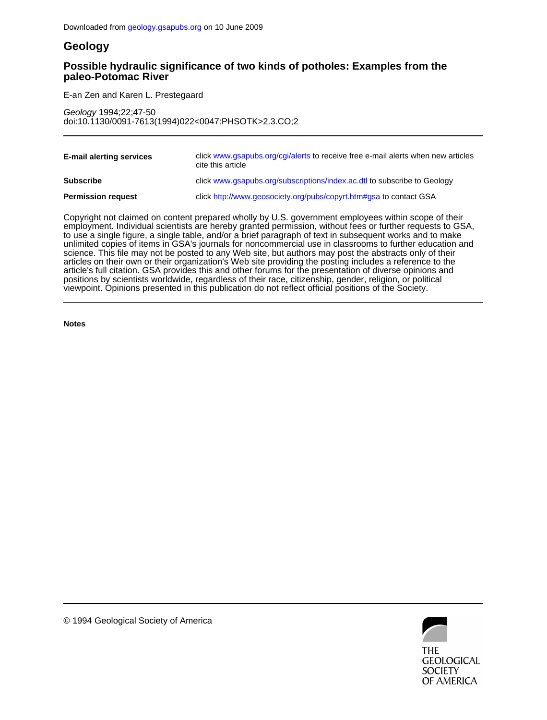# **Geology**

# **paleo-Potomac River Possible hydraulic significance of two kinds of potholes: Examples from the**

E-an Zen and Karen L. Prestegaard Ī

doi:10.1130/0091-7613(1994)022<0047:PHSOTK>2.3.CO;2 Geology 1994;22;47-50

| <b>E-mail alerting services</b> | click www.gsapubs.org/cgi/alerts to receive free e-mail alerts when new articles<br>cite this article |
|---------------------------------|-------------------------------------------------------------------------------------------------------|
| <b>Subscribe</b>                | click www.gsapubs.org/subscriptions/index.ac.dtl to subscribe to Geology                              |
| <b>Permission request</b>       | click http://www.geosociety.org/pubs/copyrt.htm#gsa to contact GSA                                    |

viewpoint. Opinions presented in this publication do not reflect official positions of the Society. positions by scientists worldwide, regardless of their race, citizenship, gender, religion, or political article's full citation. GSA provides this and other forums for the presentation of diverse opinions and articles on their own or their organization's Web site providing the posting includes a reference to the science. This file may not be posted to any Web site, but authors may post the abstracts only of their unlimited copies of items in GSA's journals for noncommercial use in classrooms to further education and to use a single figure, a single table, and/or a brief paragraph of text in subsequent works and to make employment. Individual scientists are hereby granted permission, without fees or further requests to GSA, Copyright not claimed on content prepared wholly by U.S. government employees within scope of their

**Notes**



© 1994 Geological Society of America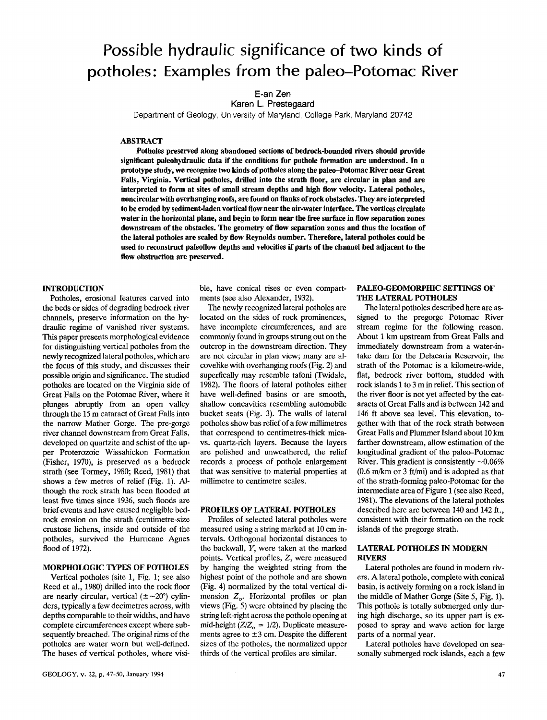# Possible hydraulic significance of two kinds of potholes: Examples from the paleo-Potomac River

E-an Zen

Karen L. Prestegaard

Department of Geology, University of Maryland, College Park, Maryland 20742

**ABSTRACT** 

Potholes preserved along abandoned sections of bedrock-bounded rivers should provide significant paleohydraulic data if the conditions for pothole formation are understood. In a prototype study, we recognize two kinds of potholes along the paleo-Potomac River near Great Falls, Virginia. Vertical potholes, drilled into the strath floor, are circular in plan and are interpreted to form at sites of small stream depths and high flow velocity. Lateral potholes, noncircular with overhanging roofs, are found on flanks of rock obstacles. They are interpreted to be eroded by sediment-laden vortical flow near the air-water interface. The vortices circulate water in the horizontal plane, and begin to form near the free surface in flow separation zones downstream of the obstacles. The geometry of flow separation zones and thus the location of the lateral potholes are scaled by flow Reynolds number. Therefore, lateral potholes could be used to reconstruct paleoflow depths and velocities if parts of the channel bed adjacent to the flow obstruction are preserved.

### **INTRODUCTION**

Potholes, erosional features carved into the beds or sides of degrading bedrock river channels, preserve information on the hydraulic regime of vanished river systems. This paper presents morphological evidence for distinguishing vertical potholes from the newly recognized lateral potholes, which are the focus of this study, and discusses their possible origin and significance. The studied potholes are located on the Virginia side of Great Falls on the Potomac River, where it plunges abruptly from an open valley through the 15 m cataract of Great Falls into the narrow Mather Gorge. The pre-gorge river channel downstream from Great Falls, developed on quartzite and schist of the upper Proterozoic Wissahickon Formation (Fisher, 1970), is preserved as a bedrock strath (see Tormey, 1980; Reed, 1981) that shows a few metres of relief (Fig. 1). Although the rock strath has been flooded at least five times since 1936, such floods are brief events and have caused negligible bedrock erosion on the strath (centimetre-size crustose lichens, inside and outside of the potholes, survived the Hurricane Agnes flood of 1972).

#### **MORPHOLOGIC TYPES OF POTHOLES**

Vertical potholes (site 1, Fig. 1; see also Reed et al., 1980) drilled into the rock floor are nearly circular, vertical  $(\pm \sim 20^{\circ})$  cylinders, typically a few decimetres across, with depths comparable to their widths, and have complete circumferences except where subsequently breached. The original rims of the potholes are water worn but well-defined. The bases of vertical potholes, where visi-

ble, have conical rises or even compartments (see also Alexander, 1932).

The newly recognized lateral potholes are located on the sides of rock prominences, have incomplete circumferences, and are commonly found in groups strung out on the outcrop in the downstream direction. They are not circular in plan view; many are alcovelike with overhanging roofs (Fig. 2) and superfically may resemble tafoni (Twidale, 1982). The floors of lateral potholes either have well-defined basins or are smooth, shallow concavities resembling automobile bucket seats (Fig. 3). The walls of lateral potholes show bas relief of a few millimetres that correspond to centimetres-thick micavs. quartz-rich layers. Because the layers are polished and unweathered, the relief records a process of pothole enlargement that was sensitive to material properties at millimetre to centimetre scales.

#### PROFILES OF LATERAL POTHOLES

Profiles of selected lateral potholes were measured using a string marked at 10 cm intervals. Orthogonal horizontal distances to the backwall, Y, were taken at the marked points. Vertical profiles, Z, were measured by hanging the weighted string from the highest point of the pothole and are shown (Fig. 4) normalized by the total vertical dimension  $Z_{o}$ . Horizontal profiles or plan views (Fig. 5) were obtained by placing the string left-right across the pothole opening at mid-height ( $Z/Z_0 = 1/2$ ). Duplicate measurements agree to  $\pm 3$  cm. Despite the different sizes of the potholes, the normalized upper thirds of the vertical profiles are similar.

## PALEO-GEOMORPHIC SETTINGS OF THE LATERAL POTHOLES

The lateral potholes described here are assigned to the pregorge Potomac River stream regime for the following reason. About 1 km upstream from Great Falls and immediately downstream from a water-intake dam for the Delacaria Reservoir, the strath of the Potomac is a kilometre-wide, flat, bedrock river bottom, studded with rock islands 1 to 3 m in relief. This section of the river floor is not yet affected by the cataracts of Great Falls and is between 142 and 146 ft above sea level. This elevation, together with that of the rock strath between Great Falls and Plummer Island about 10 km farther downstream, allow estimation of the longitudinal gradient of the paleo-Potomac River. This gradient is consistently  $\sim 0.06\%$  $(0.6 \text{ m/km} \text{ or } 3 \text{ ft/min})$  and is adopted as that of the strath-forming paleo-Potomac for the intermediate area of Figure 1 (see also Reed, 1981). The elevations of the lateral potholes described here are between 140 and 142 ft., consistent with their formation on the rock islands of the pregorge strath.

## **LATERAL POTHOLES IN MODERN RIVERS**

Lateral potholes are found in modern rivers. A lateral pothole, complete with conical basin, is actively forming on a rock island in the middle of Mather Gorge (Site 5, Fig. 1). This pothole is totally submerged only during high discharge, so its upper part is exposed to spray and wave action for large parts of a normal year.

Lateral potholes have developed on seasonally submerged rock islands, each a few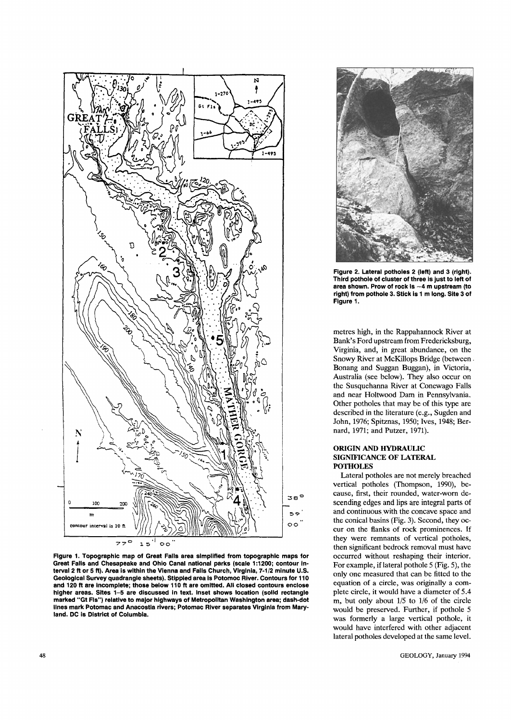

Figure 1. Topographic map of Great Falls area simplified from topographic maps for Great Falls and Chesapeake and Ohio Canal national parks (scale 1:1200; contour interval 2 ft or 5 ft). Area is within the Vienna and Falls Church, Virginia, 7-1/2 minute U.S. Geological Survey quadrangle sheets). Stippled area is Potomoc River. Contours for 110 and 120 ft are incomplete; those below 110 ft are omitted. All closed contours enclose higher areas. Sites 1-5 are discussed in text. Inset shows location (solid rectangle marked "Gt Fls") relative to major highways of Metropolitan Washington area; dash-dot lines mark Potomac and Anacostia rivers; Potomac River separates Virginia from Maryland. DC is District of Columbia.



Figure 2. Lateral potholes 2 (left) and 3 (right). Third pothole of cluster of three is just to left of area shown. Prow of rock is  $-4$  m upstream (to right) from pothole 3. Stick is 1 m long. Site 3 of Figure 1.

metres high, in the Rappahannock River at Bank's Ford upstream from Fredericksburg, Virginia, and, in great abundance, on the Snowy River at McKillops Bridge (between . Bonang and Suggan Buggan), in Victoria, Australia (see below). They also occur on the Susquehanna River at Conewago Falls and near Holtwood Dam in Pennsylvania. Other potholes that may be of this type are described in the literature (e.g., Sugden and John, 1976; Spitznas, 1950; Ives, 1948; Bernard, 1971; and Putzer, 1971).

## **ORIGIN AND HYDRAULIC** SIGNIFICANCE OF LATERAL **POTHOLES**

Lateral potholes are not merely breached vertical potholes (Thompson, 1990), because, first, their rounded, water-worn descending edges and lips are integral parts of and continuous with the concave space and the conical basins (Fig. 3). Second, they occur on the flanks of rock prominences. If they were remnants of vertical potholes, then significant bedrock removal must have occurred without reshaping their interior. For example, if lateral pothole 5 (Fig. 5), the only one measured that can be fitted to the equation of a circle, was originally a complete circle, it would have a diameter of 5.4 m, but only about 1/5 to 1/6 of the circle would be preserved. Further, if pothole 5 was formerly a large vertical pothole, it would have interfered with other adjacent lateral potholes developed at the same level.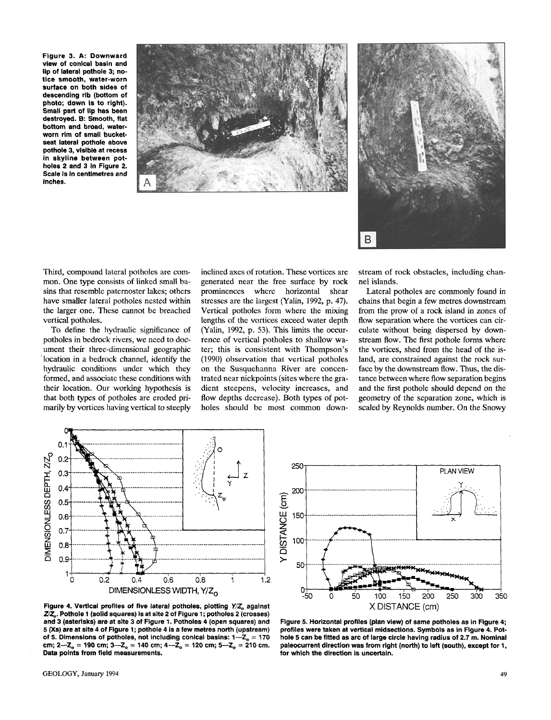Figure 3. A: Downward view of conical basin and lip of lateral pothole 3; notice smooth, water-worn surface on both sides of descending rib (bottom of photo; down is to right). Small part of lip has been destroyed. B: Smooth, flat bottom and broad, waterworn rim of small bucketseat lateral pothole above pothole 3, visible at recess in skyline between potholes 2 and 3 in Figure 2. Scale is in centimetres and inches.





Third, compound lateral potholes are common. One type consists of linked small basins that resemble paternoster lakes; others have smaller lateral potholes nested within the larger one. These cannot be breached vertical potholes.

To define the hydraulic significance of potholes in bedrock rivers, we need to document their three-dimensional geographic location in a bedrock channel, identify the hydraulic conditions under which they formed, and associate these conditions with their location. Our working hypothesis is that both types of potholes are eroded primarily by vortices having vertical to steeply inclined axes of rotation. These vortices are generated near the free surface by rock prominences where horizontal shear stresses are the largest (Yalin, 1992, p. 47). Vertical potholes form where the mixing lengths of the vortices exceed water depth (Yalin, 1992, p. 53). This limits the occurrence of vertical potholes to shallow water; this is consistent with Thompson's (1990) observation that vertical potholes on the Susquehanna River are concentrated near nickpoints (sites where the gradient steepens, velocity increases, and flow depths decrease). Both types of potholes should be most common downstream of rock obstacles, including channel islands.

Lateral potholes are commonly found in chains that begin a few metres downstream from the prow of a rock island in zones of flow separation where the vortices can circulate without being dispersed by downstream flow. The first pothole forms where the vortices, shed from the head of the island, are constrained against the rock surface by the downstream flow. Thus, the distance between where flow separation begins and the first pothole should depend on the geometry of the separation zone, which is scaled by Reynolds number. On the Snowy



250 **PLAN VIEW 200** Y DISTANCE (cm) 150 100 50  $^{0+}_{-50}$ 0 50 100 150 200 250 300 350 X DISTANCE (cm)

Figure 4. Vertical profiles of five lateral potholes, plotting Y/Z<sub>o</sub> against ZZ. Pothole 1 (solid squares) is at site 2 of Figure 1; potholes 2 (crosses) and 3 (asterisks) are at site 3 of Figure 1. Potholes 4 (open squares) and 5 (Xs) are at site 4 of Figure 1; pothole 4 is a few metres north (upstream) of 5. Dimensions of potholes, not including conical basins:  $1 - Z_0 = 170$ cm;  $2 - Z_0 = 190$  cm;  $3 - Z_0 = 140$  cm;  $4 - Z_0 = 120$  cm;  $5 - Z_0 = 210$  cm. Data points from field measurements.

Figure 5. Horizontal profiles (plan view) of same potholes as in Figure 4; profiles were taken at vertical midsections. Symbols as in Figure 4. Pothole 5 can be fitted as arc of large circle having radius of 2.7 m. Nominal paleocurrent direction was from right (north) to left (south), except for 1, for which the direction is uncertain.